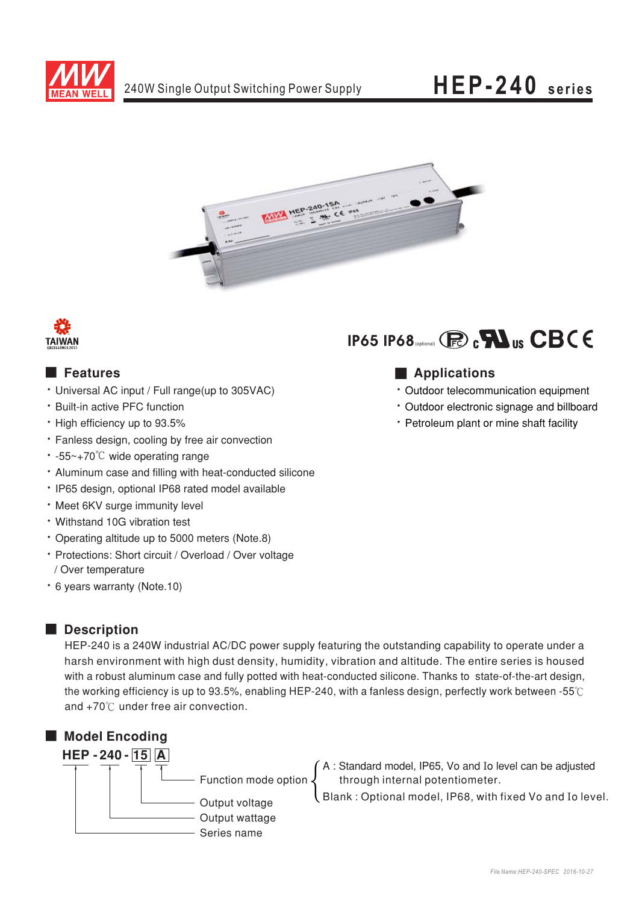

# HEP-240 series





### **E** Features

- Universal AC input / Full range(up to 305VAC)
- Built-in active PFC function
- High efficiency up to 93.5%
- · Fanless design, cooling by free air convection
- $\cdot$  -55~+70<sup>°</sup>C wide operating range
- Aluminum case and filling with heat-conducted silicone
- · IP65 design, optional IP68 rated model available
- · Meet 6KV surge immunity level
- Withstand 10G vibration test
- \* Operating altitude up to 5000 meters (Note.8)
- · Protections: Short circuit / Overload / Over voltage / Over temperature
- \* 6 years warranty (Note.10)

### Description

HEP-240 is a 240W industrial AC/DC power supply featuring the outstanding capability to operate under a harsh environment with high dust density, humidity, vibration and altitude. The entire series is housed with a robust aluminum case and fully potted with heat-conducted silicone. Thanks to state-of-the-art design, the working efficiency is up to 93.5%, enabling HEP-240, with a fanless design, perfectly work between -55°C and +70°C under free air convection.



# IP65 IP68 (process)  $\mathbf{R}$   $\mathbf{R}$  us  $\mathbf{CBC} \in \mathbf{C}$

## **Applications**

- · Outdoor telecommunication equipment
- \* Outdoor electronic signage and billboard
- Petroleum plant or mine shaft facility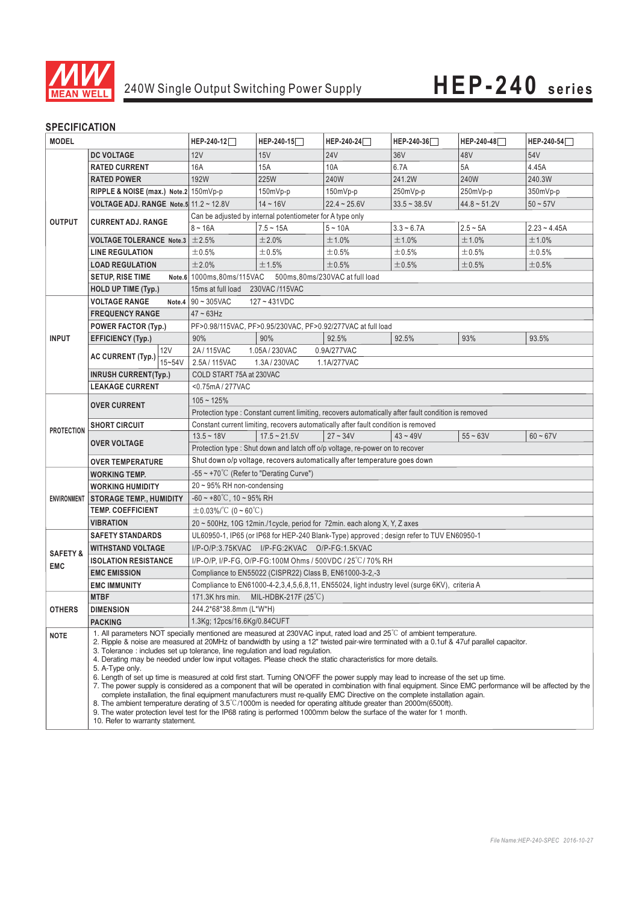

### **SPECIFICATION**

| <b>MODEL</b>                      |                                                                                                      | HEP-240-12                                                                                                                                                                                                                                                                                                                                                                                                                                                                                                                                                                                                                                                                                                                                                                                                                                                                                                                                                                                                                                                                                                                                                         | HEP-240-15     | HEP-240-24     | HEP-240-36     | HEP-240-48     | HEP-240-54     |
|-----------------------------------|------------------------------------------------------------------------------------------------------|--------------------------------------------------------------------------------------------------------------------------------------------------------------------------------------------------------------------------------------------------------------------------------------------------------------------------------------------------------------------------------------------------------------------------------------------------------------------------------------------------------------------------------------------------------------------------------------------------------------------------------------------------------------------------------------------------------------------------------------------------------------------------------------------------------------------------------------------------------------------------------------------------------------------------------------------------------------------------------------------------------------------------------------------------------------------------------------------------------------------------------------------------------------------|----------------|----------------|----------------|----------------|----------------|
|                                   | <b>DC VOLTAGE</b>                                                                                    | 12V                                                                                                                                                                                                                                                                                                                                                                                                                                                                                                                                                                                                                                                                                                                                                                                                                                                                                                                                                                                                                                                                                                                                                                | 15V            | <b>24V</b>     | 36V            | 48V            | 54V            |
| <b>OUTPUT</b>                     | <b>RATED CURRENT</b>                                                                                 | 16A                                                                                                                                                                                                                                                                                                                                                                                                                                                                                                                                                                                                                                                                                                                                                                                                                                                                                                                                                                                                                                                                                                                                                                | 15A            | 10A            | 6.7A           | 5A             | 4.45A          |
|                                   | <b>RATED POWER</b>                                                                                   | 192W                                                                                                                                                                                                                                                                                                                                                                                                                                                                                                                                                                                                                                                                                                                                                                                                                                                                                                                                                                                                                                                                                                                                                               | 225W           | 240W           | 241.2W         | 240W           | 240.3W         |
|                                   | RIPPLE & NOISE (max.) Note.2 150mVp-p                                                                |                                                                                                                                                                                                                                                                                                                                                                                                                                                                                                                                                                                                                                                                                                                                                                                                                                                                                                                                                                                                                                                                                                                                                                    | 150mVp-p       | 150mVp-p       | 250mVp-p       | 250mVp-p       | 350mVp-p       |
|                                   | VOLTAGE ADJ. RANGE Note.5 $11.2 \sim 12.8V$                                                          |                                                                                                                                                                                                                                                                                                                                                                                                                                                                                                                                                                                                                                                                                                                                                                                                                                                                                                                                                                                                                                                                                                                                                                    | $14 - 16V$     | $22.4 - 25.6V$ | $33.5 - 38.5V$ | $44.8 - 51.2V$ | $50 - 57V$     |
|                                   | <b>CURRENT ADJ. RANGE</b>                                                                            | Can be adjusted by internal potentiometer for A type only                                                                                                                                                                                                                                                                                                                                                                                                                                                                                                                                                                                                                                                                                                                                                                                                                                                                                                                                                                                                                                                                                                          |                |                |                |                |                |
|                                   |                                                                                                      | $8 - 16A$                                                                                                                                                                                                                                                                                                                                                                                                                                                                                                                                                                                                                                                                                                                                                                                                                                                                                                                                                                                                                                                                                                                                                          | $7.5 - 15A$    | $5 - 10A$      | $3.3 - 6.7A$   | $2.5 - 5A$     | $2.23 - 4.45A$ |
|                                   | <b>VOLTAGE TOLERANCE Note.3</b>                                                                      | ±2.5%                                                                                                                                                                                                                                                                                                                                                                                                                                                                                                                                                                                                                                                                                                                                                                                                                                                                                                                                                                                                                                                                                                                                                              | ±2.0%          | ±1.0%          | ±1.0%          | ±1.0%          | ±1.0%          |
|                                   | <b>LINE REGULATION</b>                                                                               | ±0.5%                                                                                                                                                                                                                                                                                                                                                                                                                                                                                                                                                                                                                                                                                                                                                                                                                                                                                                                                                                                                                                                                                                                                                              | ±0.5%          | ±0.5%          | ±0.5%          | ±0.5%          | ±0.5%          |
|                                   | <b>LOAD REGULATION</b>                                                                               | ±2.0%                                                                                                                                                                                                                                                                                                                                                                                                                                                                                                                                                                                                                                                                                                                                                                                                                                                                                                                                                                                                                                                                                                                                                              | ±1.5%          | ±0.5%          | $\pm 0.5\%$    | $\pm 0.5\%$    | ±0.5%          |
|                                   | <b>SETUP, RISE TIME</b>                                                                              | Note.6 1000ms,80ms/115VAC 500ms,80ms/230VAC at full load                                                                                                                                                                                                                                                                                                                                                                                                                                                                                                                                                                                                                                                                                                                                                                                                                                                                                                                                                                                                                                                                                                           |                |                |                |                |                |
|                                   | <b>HOLD UP TIME (Typ.)</b>                                                                           | 15ms at full load 230VAC /115VAC                                                                                                                                                                                                                                                                                                                                                                                                                                                                                                                                                                                                                                                                                                                                                                                                                                                                                                                                                                                                                                                                                                                                   |                |                |                |                |                |
| <b>INPUT</b>                      | <b>VOLTAGE RANGE</b>                                                                                 | Note.4 $\vert$ 90 ~ 305VAC<br>$127 - 431VDC$                                                                                                                                                                                                                                                                                                                                                                                                                                                                                                                                                                                                                                                                                                                                                                                                                                                                                                                                                                                                                                                                                                                       |                |                |                |                |                |
|                                   | <b>FREQUENCY RANGE</b>                                                                               | $47 \sim 63$ Hz                                                                                                                                                                                                                                                                                                                                                                                                                                                                                                                                                                                                                                                                                                                                                                                                                                                                                                                                                                                                                                                                                                                                                    |                |                |                |                |                |
|                                   | <b>POWER FACTOR (Typ.)</b>                                                                           | PF>0.98/115VAC, PF>0.95/230VAC, PF>0.92/277VAC at full load                                                                                                                                                                                                                                                                                                                                                                                                                                                                                                                                                                                                                                                                                                                                                                                                                                                                                                                                                                                                                                                                                                        |                |                |                |                |                |
|                                   | <b>EFFICIENCY (Typ.)</b>                                                                             | 90%                                                                                                                                                                                                                                                                                                                                                                                                                                                                                                                                                                                                                                                                                                                                                                                                                                                                                                                                                                                                                                                                                                                                                                | 90%            | 92.5%          | 92.5%          | 93%            | 93.5%          |
|                                   | <b>12V</b><br><b>AC CURRENT (Typ.)</b><br>$15 - 54V$                                                 | 2A / 115VAC                                                                                                                                                                                                                                                                                                                                                                                                                                                                                                                                                                                                                                                                                                                                                                                                                                                                                                                                                                                                                                                                                                                                                        | 1.05A/230VAC   | 0.9A/277VAC    |                |                |                |
|                                   |                                                                                                      | 2.5A/115VAC<br>1.3A / 230VAC<br>1.1A/277VAC                                                                                                                                                                                                                                                                                                                                                                                                                                                                                                                                                                                                                                                                                                                                                                                                                                                                                                                                                                                                                                                                                                                        |                |                |                |                |                |
|                                   | <b>INRUSH CURRENT(Typ.)</b>                                                                          | COLD START 75A at 230VAC                                                                                                                                                                                                                                                                                                                                                                                                                                                                                                                                                                                                                                                                                                                                                                                                                                                                                                                                                                                                                                                                                                                                           |                |                |                |                |                |
|                                   | <b>LEAKAGE CURRENT</b>                                                                               | <0.75mA / 277VAC                                                                                                                                                                                                                                                                                                                                                                                                                                                                                                                                                                                                                                                                                                                                                                                                                                                                                                                                                                                                                                                                                                                                                   |                |                |                |                |                |
| <b>PROTECTION</b>                 | <b>OVER CURRENT</b>                                                                                  | $105 - 125%$                                                                                                                                                                                                                                                                                                                                                                                                                                                                                                                                                                                                                                                                                                                                                                                                                                                                                                                                                                                                                                                                                                                                                       |                |                |                |                |                |
|                                   |                                                                                                      | Protection type : Constant current limiting, recovers automatically after fault condition is removed                                                                                                                                                                                                                                                                                                                                                                                                                                                                                                                                                                                                                                                                                                                                                                                                                                                                                                                                                                                                                                                               |                |                |                |                |                |
|                                   | <b>SHORT CIRCUIT</b>                                                                                 | Constant current limiting, recovers automatically after fault condition is removed                                                                                                                                                                                                                                                                                                                                                                                                                                                                                                                                                                                                                                                                                                                                                                                                                                                                                                                                                                                                                                                                                 |                |                |                |                |                |
|                                   | <b>OVER VOLTAGE</b>                                                                                  | $13.5 - 18V$                                                                                                                                                                                                                                                                                                                                                                                                                                                                                                                                                                                                                                                                                                                                                                                                                                                                                                                                                                                                                                                                                                                                                       | $17.5 - 21.5V$ | $27 - 34V$     | $43 - 49V$     | $55 - 63V$     | $60 - 67V$     |
|                                   |                                                                                                      | Protection type : Shut down and latch off o/p voltage, re-power on to recover                                                                                                                                                                                                                                                                                                                                                                                                                                                                                                                                                                                                                                                                                                                                                                                                                                                                                                                                                                                                                                                                                      |                |                |                |                |                |
|                                   | Shut down o/p voltage, recovers automatically after temperature goes down<br><b>OVER TEMPERATURE</b> |                                                                                                                                                                                                                                                                                                                                                                                                                                                                                                                                                                                                                                                                                                                                                                                                                                                                                                                                                                                                                                                                                                                                                                    |                |                |                |                |                |
| <b>ENVIRONMENT</b>                | <b>WORKING TEMP.</b>                                                                                 | $-55 \sim +70^{\circ}$ C (Refer to "Derating Curve")                                                                                                                                                                                                                                                                                                                                                                                                                                                                                                                                                                                                                                                                                                                                                                                                                                                                                                                                                                                                                                                                                                               |                |                |                |                |                |
|                                   | <b>WORKING HUMIDITY</b>                                                                              | 20~95% RH non-condensing                                                                                                                                                                                                                                                                                                                                                                                                                                                                                                                                                                                                                                                                                                                                                                                                                                                                                                                                                                                                                                                                                                                                           |                |                |                |                |                |
|                                   | <b>STORAGE TEMP., HUMIDITY</b>                                                                       | $-60 \sim +80^{\circ}$ C, 10 ~ 95% RH                                                                                                                                                                                                                                                                                                                                                                                                                                                                                                                                                                                                                                                                                                                                                                                                                                                                                                                                                                                                                                                                                                                              |                |                |                |                |                |
|                                   | <b>TEMP. COEFFICIENT</b>                                                                             | $\pm$ 0.03%/°C (0~60°C)                                                                                                                                                                                                                                                                                                                                                                                                                                                                                                                                                                                                                                                                                                                                                                                                                                                                                                                                                                                                                                                                                                                                            |                |                |                |                |                |
|                                   | <b>VIBRATION</b>                                                                                     | 20 ~ 500Hz, 10G 12min./1cycle, period for 72min. each along X, Y, Z axes                                                                                                                                                                                                                                                                                                                                                                                                                                                                                                                                                                                                                                                                                                                                                                                                                                                                                                                                                                                                                                                                                           |                |                |                |                |                |
|                                   | <b>SAFETY STANDARDS</b>                                                                              | UL60950-1, IP65 (or IP68 for HEP-240 Blank-Type) approved; design refer to TUV EN60950-1                                                                                                                                                                                                                                                                                                                                                                                                                                                                                                                                                                                                                                                                                                                                                                                                                                                                                                                                                                                                                                                                           |                |                |                |                |                |
| <b>SAFETY &amp;</b><br><b>EMC</b> | <b>WITHSTAND VOLTAGE</b>                                                                             | I/P-O/P:3.75KVAC I/P-FG:2KVAC O/P-FG:1.5KVAC                                                                                                                                                                                                                                                                                                                                                                                                                                                                                                                                                                                                                                                                                                                                                                                                                                                                                                                                                                                                                                                                                                                       |                |                |                |                |                |
|                                   | <b>ISOLATION RESISTANCE</b>                                                                          | I/P-O/P, I/P-FG, O/P-FG:100M Ohms / 500VDC / 25°C/70% RH                                                                                                                                                                                                                                                                                                                                                                                                                                                                                                                                                                                                                                                                                                                                                                                                                                                                                                                                                                                                                                                                                                           |                |                |                |                |                |
|                                   | <b>EMC EMISSION</b>                                                                                  | Compliance to EN55022 (CISPR22) Class B, EN61000-3-2,-3                                                                                                                                                                                                                                                                                                                                                                                                                                                                                                                                                                                                                                                                                                                                                                                                                                                                                                                                                                                                                                                                                                            |                |                |                |                |                |
|                                   | <b>EMC IMMUNITY</b>                                                                                  | Compliance to EN61000-4-2,3,4,5,6,8,11, EN55024, light industry level (surge 6KV), criteria A                                                                                                                                                                                                                                                                                                                                                                                                                                                                                                                                                                                                                                                                                                                                                                                                                                                                                                                                                                                                                                                                      |                |                |                |                |                |
| <b>OTHERS</b>                     | <b>MTBF</b>                                                                                          | 171.3K hrs min.<br>MIL-HDBK-217F $(25^{\circ}$ C)                                                                                                                                                                                                                                                                                                                                                                                                                                                                                                                                                                                                                                                                                                                                                                                                                                                                                                                                                                                                                                                                                                                  |                |                |                |                |                |
|                                   | <b>DIMENSION</b>                                                                                     | 244.2*68*38.8mm (L*W*H)                                                                                                                                                                                                                                                                                                                                                                                                                                                                                                                                                                                                                                                                                                                                                                                                                                                                                                                                                                                                                                                                                                                                            |                |                |                |                |                |
|                                   | <b>PACKING</b>                                                                                       | 1.3Kg; 12pcs/16.6Kg/0.84CUFT                                                                                                                                                                                                                                                                                                                                                                                                                                                                                                                                                                                                                                                                                                                                                                                                                                                                                                                                                                                                                                                                                                                                       |                |                |                |                |                |
| <b>NOTE</b>                       | 5. A-Type only.<br>10. Refer to warranty statement.                                                  | 1. All parameters NOT specially mentioned are measured at 230VAC input, rated load and $25^{\circ}$ of ambient temperature.<br>2. Ripple & noise are measured at 20MHz of bandwidth by using a 12" twisted pair-wire terminated with a 0.1uf & 47uf parallel capacitor.<br>3. Tolerance : includes set up tolerance, line regulation and load regulation.<br>4. Derating may be needed under low input voltages. Please check the static characteristics for more details.<br>6. Length of set up time is measured at cold first start. Turning ON/OFF the power supply may lead to increase of the set up time.<br>7. The power supply is considered as a component that will be operated in combination with final equipment. Since EMC performance will be affected by the<br>complete installation, the final equipment manufacturers must re-qualify EMC Directive on the complete installation again.<br>8. The ambient temperature derating of $3.5^{\circ}$ C/1000m is needed for operating altitude greater than 2000m(6500ft).<br>9. The water protection level test for the IP68 rating is performed 1000mm below the surface of the water for 1 month. |                |                |                |                |                |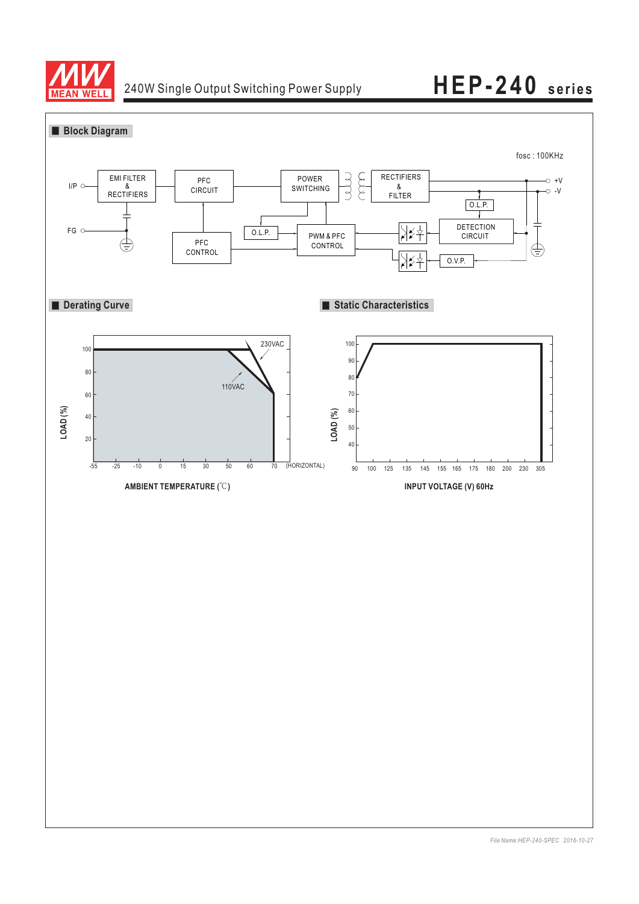

# 240W Single Output Switching Power Supply **HEP-240 series**